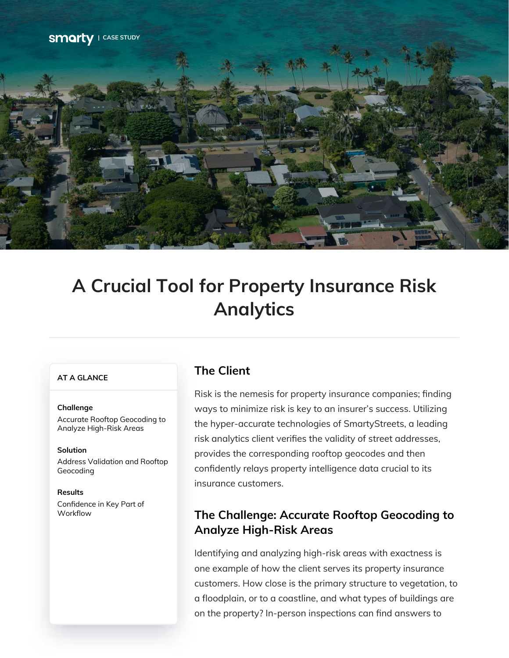

# **A Crucial Tool for Property Insurance Risk Analytics**

### **AT A GLANCE**

#### **Challenge**

Accurate Rooftop Geocoding to Analyze High-Risk Areas

Address Validation and Rooftop Geocoding **Solution**

Confidence in Key Part of **Workflow Results**

## **The Client**

Risk is the nemesis for property insurance companies; finding ways to minimize risk is key to an insurer's success. Utilizing the hyper-accurate technologies of SmartyStreets, a leading risk analytics client verifies the validity of street addresses, provides the corresponding rooftop geocodes and then confidently relays property intelligence data crucial to its insurance customers.

## **The Challenge: Accurate Rooftop Geocoding to Analyze High-Risk Areas**

Identifying and analyzing high-risk areas with exactness is one example of how the client serves its property insurance customers. How close is the primary structure to vegetation, to a floodplain, or to a coastline, and what types of buildings are on the property? In-person inspections can find answers to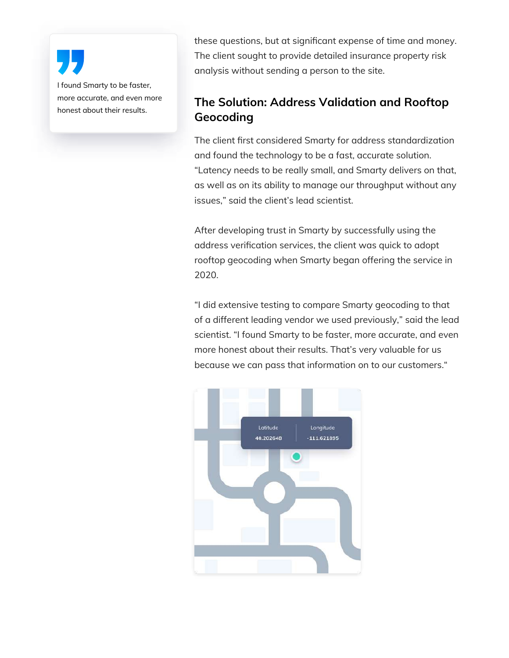I found Smarty to be faster, more accurate, and even more honest about their results.

these questions, but at significant expense of time and money. The client sought to provide detailed insurance property risk analysis without sending a person to the site.

# **The Solution: Address Validation and Rooftop Geocoding**

The client first considered Smarty for address standardization and found the technology to be a fast, accurate solution. "Latency needs to be really small, and Smarty delivers on that, as well as on its ability to manage our throughput without any issues," said the client's lead scientist.

After developing trust in Smarty by successfully using the address verification services, the client was quick to adopt rooftop geocoding when Smarty began offering the service in 2020.

"I did extensive testing to compare Smarty geocoding to that of a different leading vendor we used previously," said the lead scientist. "I found Smarty to be faster, more accurate, and even more honest about their results. That's very valuable for us because we can pass that information on to our customers."